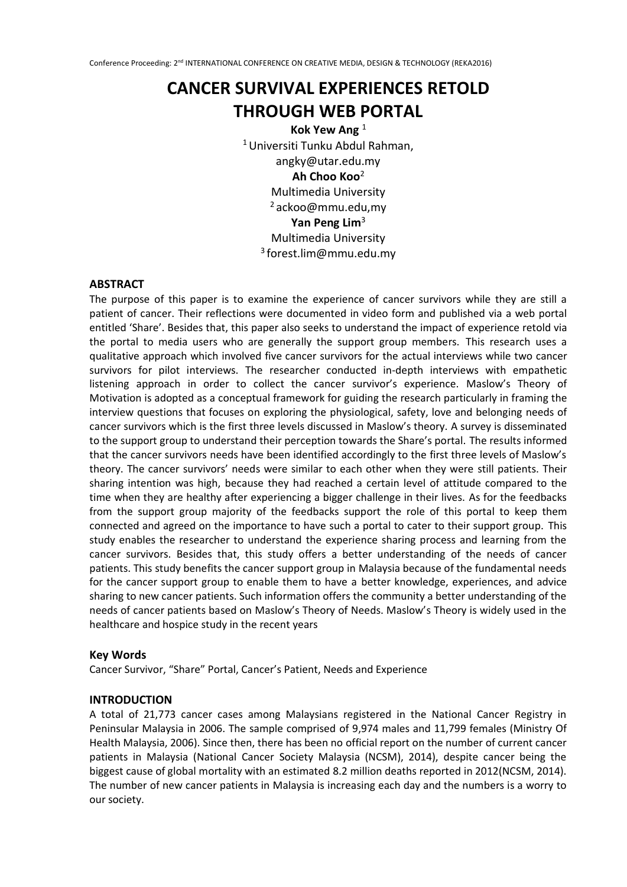# **CANCER SURVIVAL EXPERIENCES RETOLD THROUGH WEB PORTAL**

**Kok Yew Ang** <sup>1</sup> <sup>1</sup>Universiti Tunku Abdul Rahman, angky@utar.edu.my **Ah Choo Koo**<sup>2</sup> Multimedia University  $2a$ ckoo@mmu.edu.mv **Yan Peng Lim**<sup>3</sup> Multimedia University <sup>3</sup>forest.lim@mmu.edu.my

#### **ABSTRACT**

The purpose of this paper is to examine the experience of cancer survivors while they are still a patient of cancer. Their reflections were documented in video form and published via a web portal entitled 'Share'. Besides that, this paper also seeks to understand the impact of experience retold via the portal to media users who are generally the support group members. This research uses a qualitative approach which involved five cancer survivors for the actual interviews while two cancer survivors for pilot interviews. The researcher conducted in-depth interviews with empathetic listening approach in order to collect the cancer survivor's experience. Maslow's Theory of Motivation is adopted as a conceptual framework for guiding the research particularly in framing the interview questions that focuses on exploring the physiological, safety, love and belonging needs of cancer survivors which is the first three levels discussed in Maslow's theory. A survey is disseminated to the support group to understand their perception towards the Share's portal. The results informed that the cancer survivors needs have been identified accordingly to the first three levels of Maslow's theory. The cancer survivors' needs were similar to each other when they were still patients. Their sharing intention was high, because they had reached a certain level of attitude compared to the time when they are healthy after experiencing a bigger challenge in their lives. As for the feedbacks from the support group majority of the feedbacks support the role of this portal to keep them connected and agreed on the importance to have such a portal to cater to their support group. This study enables the researcher to understand the experience sharing process and learning from the cancer survivors. Besides that, this study offers a better understanding of the needs of cancer patients. This study benefits the cancer support group in Malaysia because of the fundamental needs for the cancer support group to enable them to have a better knowledge, experiences, and advice sharing to new cancer patients. Such information offers the community a better understanding of the needs of cancer patients based on Maslow's Theory of Needs. Maslow's Theory is widely used in the healthcare and hospice study in the recent years

#### **Key Words**

Cancer Survivor, "Share" Portal, Cancer's Patient, Needs and Experience

#### **INTRODUCTION**

A total of 21,773 cancer cases among Malaysians registered in the National Cancer Registry in Peninsular Malaysia in 2006. The sample comprised of 9,974 males and 11,799 females (Ministry Of Health Malaysia, 2006). Since then, there has been no official report on the number of current cancer patients in Malaysia (National Cancer Society Malaysia (NCSM), 2014), despite cancer being the biggest cause of global mortality with an estimated 8.2 million deaths reported in 2012(NCSM, 2014). The number of new cancer patients in Malaysia is increasing each day and the numbers is a worry to our society.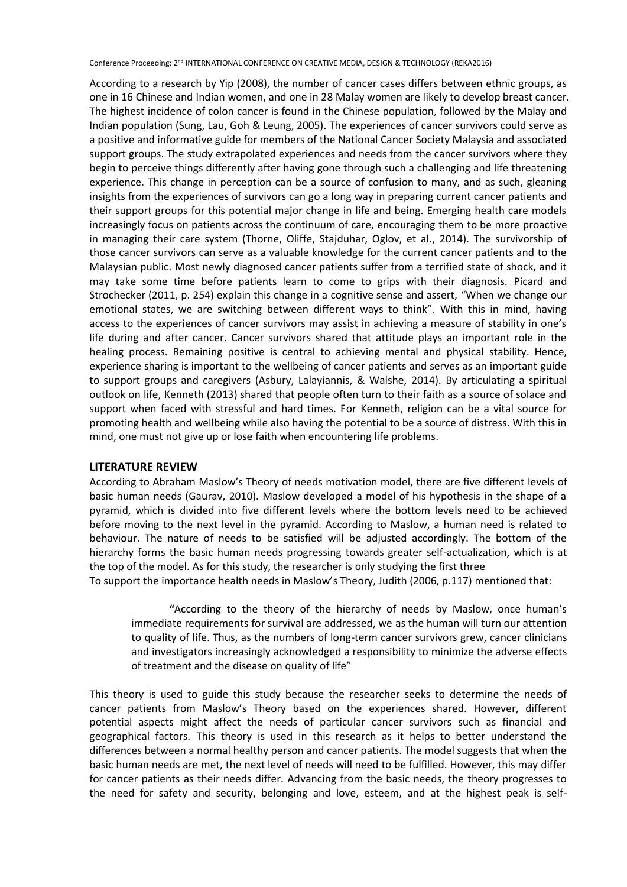According to a research by Yip (2008), the number of cancer cases differs between ethnic groups, as one in 16 Chinese and Indian women, and one in 28 Malay women are likely to develop breast cancer. The highest incidence of colon cancer is found in the Chinese population, followed by the Malay and Indian population (Sung, Lau, Goh & Leung, 2005). The experiences of cancer survivors could serve as a positive and informative guide for members of the National Cancer Society Malaysia and associated support groups. The study extrapolated experiences and needs from the cancer survivors where they begin to perceive things differently after having gone through such a challenging and life threatening experience. This change in perception can be a source of confusion to many, and as such, gleaning insights from the experiences of survivors can go a long way in preparing current cancer patients and their support groups for this potential major change in life and being. Emerging health care models increasingly focus on patients across the continuum of care, encouraging them to be more proactive in managing their care system (Thorne, Oliffe, Stajduhar, Oglov, et al., 2014). The survivorship of those cancer survivors can serve as a valuable knowledge for the current cancer patients and to the Malaysian public. Most newly diagnosed cancer patients suffer from a terrified state of shock, and it may take some time before patients learn to come to grips with their diagnosis. Picard and Strochecker (2011, p. 254) explain this change in a cognitive sense and assert, "When we change our emotional states, we are switching between different ways to think". With this in mind, having access to the experiences of cancer survivors may assist in achieving a measure of stability in one's life during and after cancer. Cancer survivors shared that attitude plays an important role in the healing process. Remaining positive is central to achieving mental and physical stability. Hence, experience sharing is important to the wellbeing of cancer patients and serves as an important guide to support groups and caregivers (Asbury, Lalayiannis, & Walshe, 2014). By articulating a spiritual outlook on life, Kenneth (2013) shared that people often turn to their faith as a source of solace and support when faced with stressful and hard times. For Kenneth, religion can be a vital source for promoting health and wellbeing while also having the potential to be a source of distress. With this in mind, one must not give up or lose faith when encountering life problems.

#### **LITERATURE REVIEW**

According to Abraham Maslow's Theory of needs motivation model, there are five different levels of basic human needs (Gaurav, 2010). Maslow developed a model of his hypothesis in the shape of a pyramid, which is divided into five different levels where the bottom levels need to be achieved before moving to the next level in the pyramid. According to Maslow, a human need is related to behaviour. The nature of needs to be satisfied will be adjusted accordingly. The bottom of the hierarchy forms the basic human needs progressing towards greater self-actualization, which is at the top of the model. As for this study, the researcher is only studying the first three

To support the importance health needs in Maslow's Theory, Judith (2006, p.117) mentioned that:

**"**According to the theory of the hierarchy of needs by Maslow, once human's immediate requirements for survival are addressed, we as the human will turn our attention to quality of life. Thus, as the numbers of long-term cancer survivors grew, cancer clinicians and investigators increasingly acknowledged a responsibility to minimize the adverse effects of treatment and the disease on quality of life"

This theory is used to guide this study because the researcher seeks to determine the needs of cancer patients from Maslow's Theory based on the experiences shared. However, different potential aspects might affect the needs of particular cancer survivors such as financial and geographical factors. This theory is used in this research as it helps to better understand the differences between a normal healthy person and cancer patients. The model suggests that when the basic human needs are met, the next level of needs will need to be fulfilled. However, this may differ for cancer patients as their needs differ. Advancing from the basic needs, the theory progresses to the need for safety and security, belonging and love, esteem, and at the highest peak is self-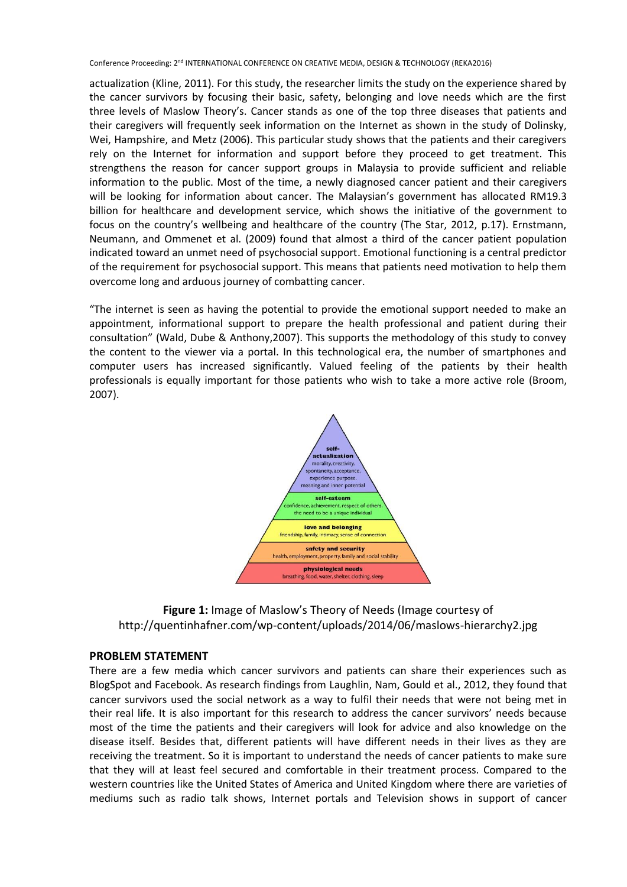actualization (Kline, 2011). For this study, the researcher limits the study on the experience shared by the cancer survivors by focusing their basic, safety, belonging and love needs which are the first three levels of Maslow Theory's. Cancer stands as one of the top three diseases that patients and their caregivers will frequently seek information on the Internet as shown in the study of Dolinsky, Wei, Hampshire, and Metz (2006). This particular study shows that the patients and their caregivers rely on the Internet for information and support before they proceed to get treatment. This strengthens the reason for cancer support groups in Malaysia to provide sufficient and reliable information to the public. Most of the time, a newly diagnosed cancer patient and their caregivers will be looking for information about cancer. The Malaysian's government has allocated RM19.3 billion for healthcare and development service, which shows the initiative of the government to focus on the country's wellbeing and healthcare of the country (The Star, 2012, p.17). Ernstmann, Neumann, and Ommenet et al. (2009) found that almost a third of the cancer patient population indicated toward an unmet need of psychosocial support. Emotional functioning is a central predictor of the requirement for psychosocial support. This means that patients need motivation to help them overcome long and arduous journey of combatting cancer.

"The internet is seen as having the potential to provide the emotional support needed to make an appointment, informational support to prepare the health professional and patient during their consultation" (Wald, Dube & Anthony,2007). This supports the methodology of this study to convey the content to the viewer via a portal. In this technological era, the number of smartphones and computer users has increased significantly. Valued feeling of the patients by their health professionals is equally important for those patients who wish to take a more active role (Broom, 2007).



**Figure 1:** Image of Maslow's Theory of Needs (Image courtesy of http://quentinhafner.com/wp-content/uploads/2014/06/maslows-hierarchy2.jpg

#### **PROBLEM STATEMENT**

There are a few media which cancer survivors and patients can share their experiences such as BlogSpot and Facebook. As research findings from Laughlin, Nam, Gould et al., 2012, they found that cancer survivors used the social network as a way to fulfil their needs that were not being met in their real life. It is also important for this research to address the cancer survivors' needs because most of the time the patients and their caregivers will look for advice and also knowledge on the disease itself. Besides that, different patients will have different needs in their lives as they are receiving the treatment. So it is important to understand the needs of cancer patients to make sure that they will at least feel secured and comfortable in their treatment process. Compared to the western countries like the United States of America and United Kingdom where there are varieties of mediums such as radio talk shows, Internet portals and Television shows in support of cancer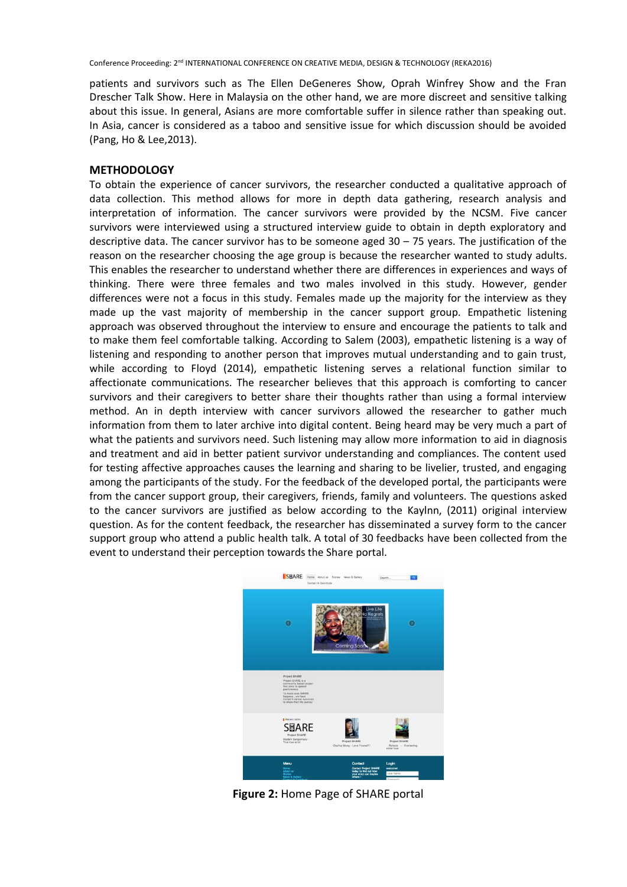patients and survivors such as The Ellen DeGeneres Show, Oprah Winfrey Show and the Fran Drescher Talk Show. Here in Malaysia on the other hand, we are more discreet and sensitive talking about this issue. In general, Asians are more comfortable suffer in silence rather than speaking out. In Asia, cancer is considered as a taboo and sensitive issue for which discussion should be avoided (Pang, Ho & Lee,2013).

#### **METHODOLOGY**

To obtain the experience of cancer survivors, the researcher conducted a qualitative approach of data collection. This method allows for more in depth data gathering, research analysis and interpretation of information. The cancer survivors were provided by the NCSM. Five cancer survivors were interviewed using a structured interview guide to obtain in depth exploratory and descriptive data. The cancer survivor has to be someone aged 30 – 75 years. The justification of the reason on the researcher choosing the age group is because the researcher wanted to study adults. This enables the researcher to understand whether there are differences in experiences and ways of thinking. There were three females and two males involved in this study. However, gender differences were not a focus in this study. Females made up the majority for the interview as they made up the vast majority of membership in the cancer support group. Empathetic listening approach was observed throughout the interview to ensure and encourage the patients to talk and to make them feel comfortable talking. According to Salem (2003), empathetic listening is a way of listening and responding to another person that improves mutual understanding and to gain trust, while according to Floyd (2014), empathetic listening serves a relational function similar to affectionate communications. The researcher believes that this approach is comforting to cancer survivors and their caregivers to better share their thoughts rather than using a formal interview method. An in depth interview with cancer survivors allowed the researcher to gather much information from them to later archive into digital content. Being heard may be very much a part of what the patients and survivors need. Such listening may allow more information to aid in diagnosis and treatment and aid in better patient survivor understanding and compliances. The content used for testing affective approaches causes the learning and sharing to be livelier, trusted, and engaging among the participants of the study. For the feedback of the developed portal, the participants were from the cancer support group, their caregivers, friends, family and volunteers. The questions asked to the cancer survivors are justified as below according to the Kaylnn, (2011) original interview question. As for the content feedback, the researcher has disseminated a survey form to the cancer support group who attend a public health talk. A total of 30 feedbacks have been collected from the event to understand their perception towards the Share portal.



**Figure 2:** Home Page of SHARE portal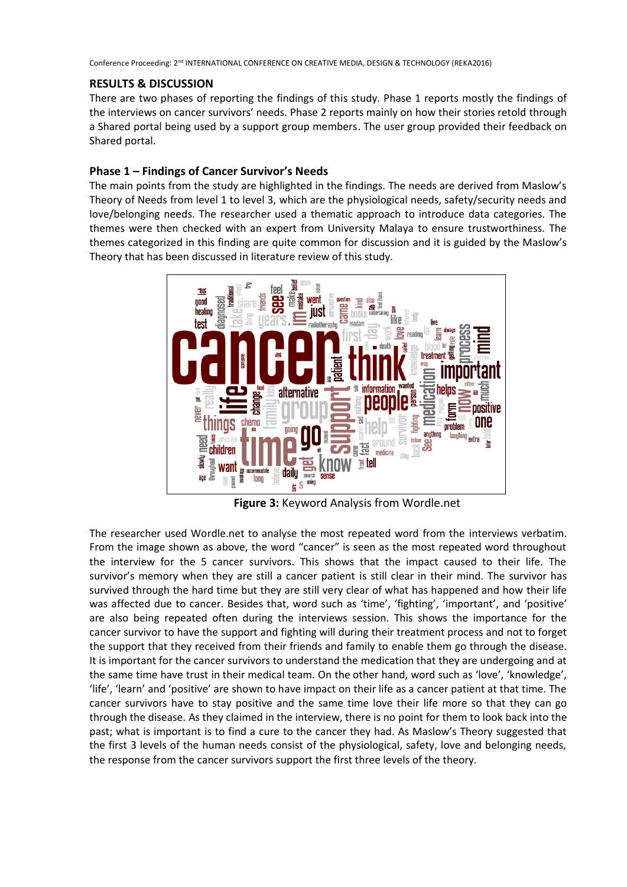#### **RESULTS & DISCUSSION**

There are two phases of reporting the findings of this study. Phase 1 reports mostly the findings of the interviews on cancer survivors' needs. Phase 2 reports mainly on how their stories retold through a Shared portal being used by a support group members. The user group provided their feedback on Shared portal.

## **Phase 1 – Findings of Cancer Survivor's Needs**

The main points from the study are highlighted in the findings. The needs are derived from Maslow's Theory of Needs from level 1 to level 3, which are the physiological needs, safety/security needs and love/belonging needs. The researcher used a thematic approach to introduce data categories. The themes were then checked with an expert from University Malaya to ensure trustworthiness. The themes categorized in this finding are quite common for discussion and it is guided by the Maslow's Theory that has been discussed in literature review of this study.



**Figure 3:** Keyword Analysis from Wordle.net

The researcher used Wordle.net to analyse the most repeated word from the interviews verbatim. From the image shown as above, the word "cancer" is seen as the most repeated word throughout the interview for the 5 cancer survivors. This shows that the impact caused to their life. The survivor's memory when they are still a cancer patient is still clear in their mind. The survivor has survived through the hard time but they are still very clear of what has happened and how their life was affected due to cancer. Besides that, word such as 'time', 'fighting', 'important', and 'positive' are also being repeated often during the interviews session. This shows the importance for the cancer survivor to have the support and fighting will during their treatment process and not to forget the support that they received from their friends and family to enable them go through the disease. It is important for the cancer survivors to understand the medication that they are undergoing and at the same time have trust in their medical team. On the other hand, word such as 'love', 'knowledge', 'life', 'learn' and 'positive' are shown to have impact on their life as a cancer patient at that time. The cancer survivors have to stay positive and the same time love their life more so that they can go through the disease. As they claimed in the interview, there is no point for them to look back into the past; what is important is to find a cure to the cancer they had. As Maslow's Theory suggested that the first 3 levels of the human needs consist of the physiological, safety, love and belonging needs, the response from the cancer survivors support the first three levels of the theory.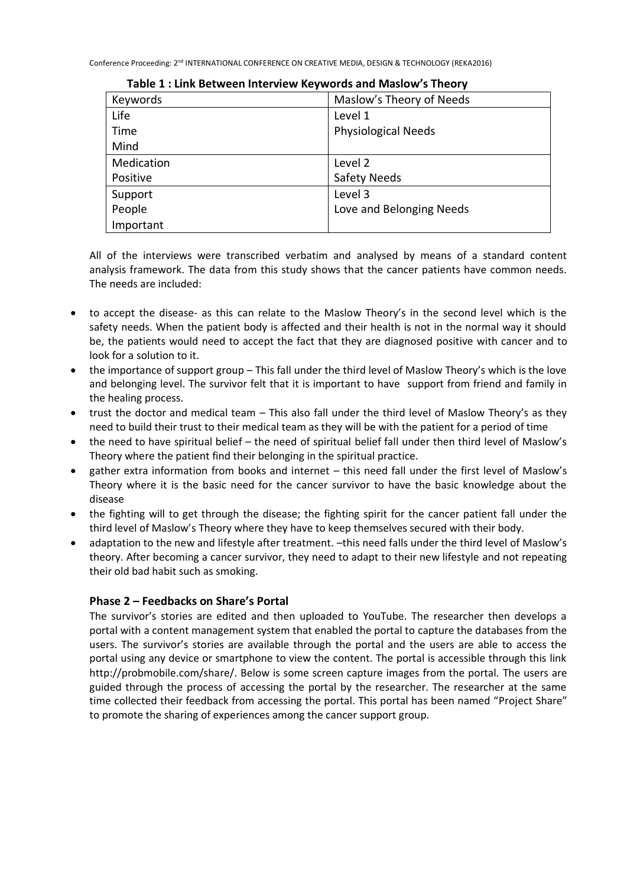| Keywords   | Maslow's Theory of Needs   |  |
|------------|----------------------------|--|
| Life       | Level 1                    |  |
| Time       | <b>Physiological Needs</b> |  |
| Mind       |                            |  |
| Medication | Level 2                    |  |
| Positive   | <b>Safety Needs</b>        |  |
| Support    | Level 3                    |  |
| People     | Love and Belonging Needs   |  |
| Important  |                            |  |

**Table 1 : Link Between Interview Keywords and Maslow's Theory**

All of the interviews were transcribed verbatim and analysed by means of a standard content analysis framework. The data from this study shows that the cancer patients have common needs. The needs are included:

- to accept the disease- as this can relate to the Maslow Theory's in the second level which is the safety needs. When the patient body is affected and their health is not in the normal way it should be, the patients would need to accept the fact that they are diagnosed positive with cancer and to look for a solution to it.
- the importance of support group This fall under the third level of Maslow Theory's which is the love and belonging level. The survivor felt that it is important to have support from friend and family in the healing process.
- trust the doctor and medical team This also fall under the third level of Maslow Theory's as they need to build their trust to their medical team as they will be with the patient for a period of time
- the need to have spiritual belief the need of spiritual belief fall under then third level of Maslow's Theory where the patient find their belonging in the spiritual practice.
- gather extra information from books and internet this need fall under the first level of Maslow's Theory where it is the basic need for the cancer survivor to have the basic knowledge about the disease
- the fighting will to get through the disease; the fighting spirit for the cancer patient fall under the third level of Maslow's Theory where they have to keep themselves secured with their body.
- adaptation to the new and lifestyle after treatment. –this need falls under the third level of Maslow's theory. After becoming a cancer survivor, they need to adapt to their new lifestyle and not repeating their old bad habit such as smoking.

# **Phase 2 – Feedbacks on Share's Portal**

The survivor's stories are edited and then uploaded to YouTube. The researcher then develops a portal with a content management system that enabled the portal to capture the databases from the users. The survivor's stories are available through the portal and the users are able to access the portal using any device or smartphone to view the content. The portal is accessible through this link http://probmobile.com/share/. Below is some screen capture images from the portal. The users are guided through the process of accessing the portal by the researcher. The researcher at the same time collected their feedback from accessing the portal. This portal has been named "Project Share" to promote the sharing of experiences among the cancer support group.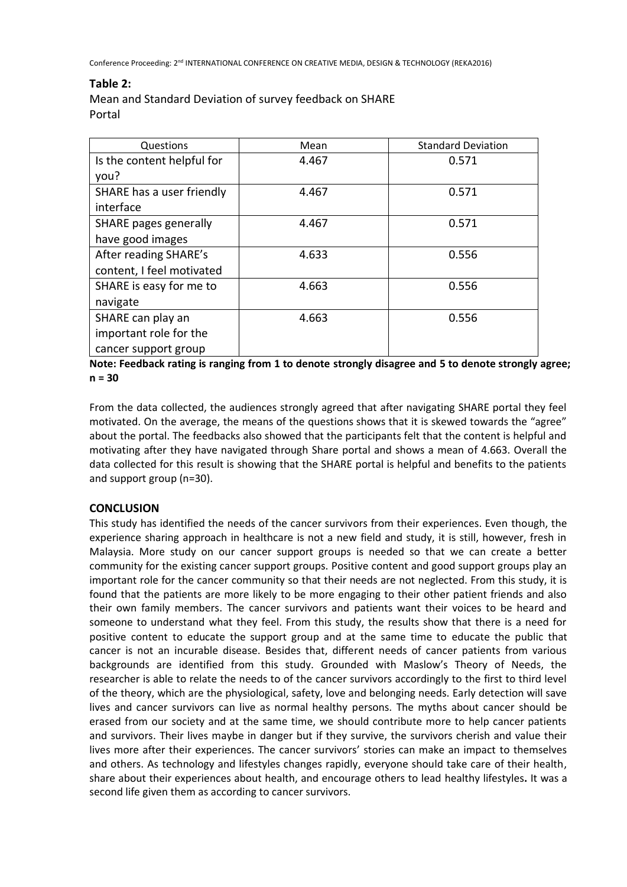## **Table 2:**

Mean and Standard Deviation of survey feedback on SHARE Portal

| Questions                  | Mean  | <b>Standard Deviation</b> |
|----------------------------|-------|---------------------------|
| Is the content helpful for | 4.467 | 0.571                     |
| you?                       |       |                           |
| SHARE has a user friendly  | 4.467 | 0.571                     |
| interface                  |       |                           |
| SHARE pages generally      | 4.467 | 0.571                     |
| have good images           |       |                           |
| After reading SHARE's      | 4.633 | 0.556                     |
| content, I feel motivated  |       |                           |
| SHARE is easy for me to    | 4.663 | 0.556                     |
| navigate                   |       |                           |
| SHARE can play an          | 4.663 | 0.556                     |
| important role for the     |       |                           |
| cancer support group       |       |                           |

**Note: Feedback rating is ranging from 1 to denote strongly disagree and 5 to denote strongly agree; n = 30**

From the data collected, the audiences strongly agreed that after navigating SHARE portal they feel motivated. On the average, the means of the questions shows that it is skewed towards the "agree" about the portal. The feedbacks also showed that the participants felt that the content is helpful and motivating after they have navigated through Share portal and shows a mean of 4.663. Overall the data collected for this result is showing that the SHARE portal is helpful and benefits to the patients and support group (n=30).

# **CONCLUSION**

This study has identified the needs of the cancer survivors from their experiences. Even though, the experience sharing approach in healthcare is not a new field and study, it is still, however, fresh in Malaysia. More study on our cancer support groups is needed so that we can create a better community for the existing cancer support groups. Positive content and good support groups play an important role for the cancer community so that their needs are not neglected. From this study, it is found that the patients are more likely to be more engaging to their other patient friends and also their own family members. The cancer survivors and patients want their voices to be heard and someone to understand what they feel. From this study, the results show that there is a need for positive content to educate the support group and at the same time to educate the public that cancer is not an incurable disease. Besides that, different needs of cancer patients from various backgrounds are identified from this study. Grounded with Maslow's Theory of Needs, the researcher is able to relate the needs to of the cancer survivors accordingly to the first to third level of the theory, which are the physiological, safety, love and belonging needs. Early detection will save lives and cancer survivors can live as normal healthy persons. The myths about cancer should be erased from our society and at the same time, we should contribute more to help cancer patients and survivors. Their lives maybe in danger but if they survive, the survivors cherish and value their lives more after their experiences. The cancer survivors' stories can make an impact to themselves and others. As technology and lifestyles changes rapidly, everyone should take care of their health, share about their experiences about health, and encourage others to lead healthy lifestyles**.** It was a second life given them as according to cancer survivors.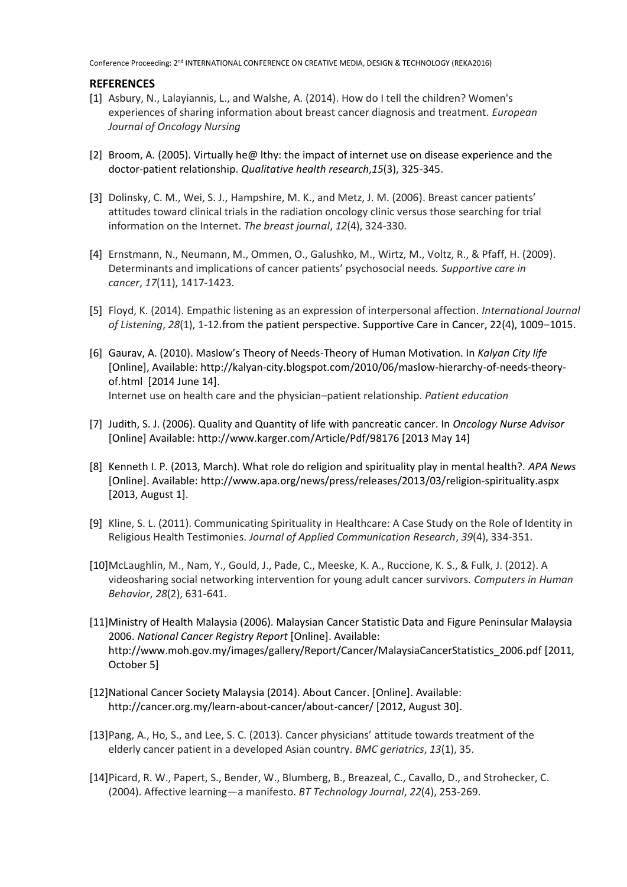#### **REFERENCES**

- [1] Asbury, N., Lalayiannis, L., and Walshe, A. (2014). How do I tell the children? Women's experiences of sharing information about breast cancer diagnosis and treatment. *European Journal of Oncology Nursing*
- [2] Broom, A. (2005). Virtually he@ lthy: the impact of internet use on disease experience and the doctor-patient relationship. *Qualitative health research*,*15*(3), 325-345.
- [3] Dolinsky, C. M., Wei, S. J., Hampshire, M. K., and Metz, J. M. (2006). Breast cancer patients' attitudes toward clinical trials in the radiation oncology clinic versus those searching for trial information on the Internet. *The breast journal*, *12*(4), 324-330.
- [4] Ernstmann, N., Neumann, M., Ommen, O., Galushko, M., Wirtz, M., Voltz, R., & Pfaff, H. (2009). Determinants and implications of cancer patients' psychosocial needs. *Supportive care in cancer*, *17*(11), 1417-1423.
- [5] Floyd, K. (2014). Empathic listening as an expression of interpersonal affection. *International Journal of Listening*, *28*(1), 1-12.from the patient perspective. Supportive Care in Cancer, 22(4), 1009–1015.
- [6] Gaurav, A. (2010). Maslow's Theory of Needs-Theory of Human Motivation. In *Kalyan City life* [Online], Available: http://kalyan-city.blogspot.com/2010/06/maslow-hierarchy-of-needs-theoryof.html [2014 June 14]. Internet use on health care and the physician–patient relationship. *Patient education*
- [7] Judith, S. J. (2006). Quality and Quantity of life with pancreatic cancer. In *Oncology Nurse Advisor* [Online] Available: http://www.karger.com/Article/Pdf/98176 [2013 May 14]
- [8] Kenneth I. P. (2013, March). What role do religion and spirituality play in mental health?. *APA News*  [Online]. Available: http://www.apa.org/news/press/releases/2013/03/religion-spirituality.aspx [2013, August 1].
- [9] Kline, S. L. (2011). Communicating Spirituality in Healthcare: A Case Study on the Role of Identity in Religious Health Testimonies. *Journal of Applied Communication Research*, *39*(4), 334-351.
- [10]McLaughlin, M., Nam, Y., Gould, J., Pade, C., Meeske, K. A., Ruccione, K. S., & Fulk, J. (2012). A videosharing social networking intervention for young adult cancer survivors. *Computers in Human Behavior*, *28*(2), 631-641.
- [11]Ministry of Health Malaysia (2006). Malaysian Cancer Statistic Data and Figure Peninsular Malaysia 2006. *National Cancer Registry Report* [Online]. Available: http://www.moh.gov.my/images/gallery/Report/Cancer/MalaysiaCancerStatistics\_2006.pdf [2011, October 5]
- [12]National Cancer Society Malaysia (2014). About Cancer. [Online]. Available: http://cancer.org.my/learn-about-cancer/about-cancer/ [2012, August 30].
- [13]Pang, A., Ho, S., and Lee, S. C. (2013). Cancer physicians' attitude towards treatment of the elderly cancer patient in a developed Asian country. *BMC geriatrics*, *13*(1), 35.
- [14]Picard, R. W., Papert, S., Bender, W., Blumberg, B., Breazeal, C., Cavallo, D., and Strohecker, C. (2004). Affective learning—a manifesto. *BT Technology Journal*, *22*(4), 253-269.